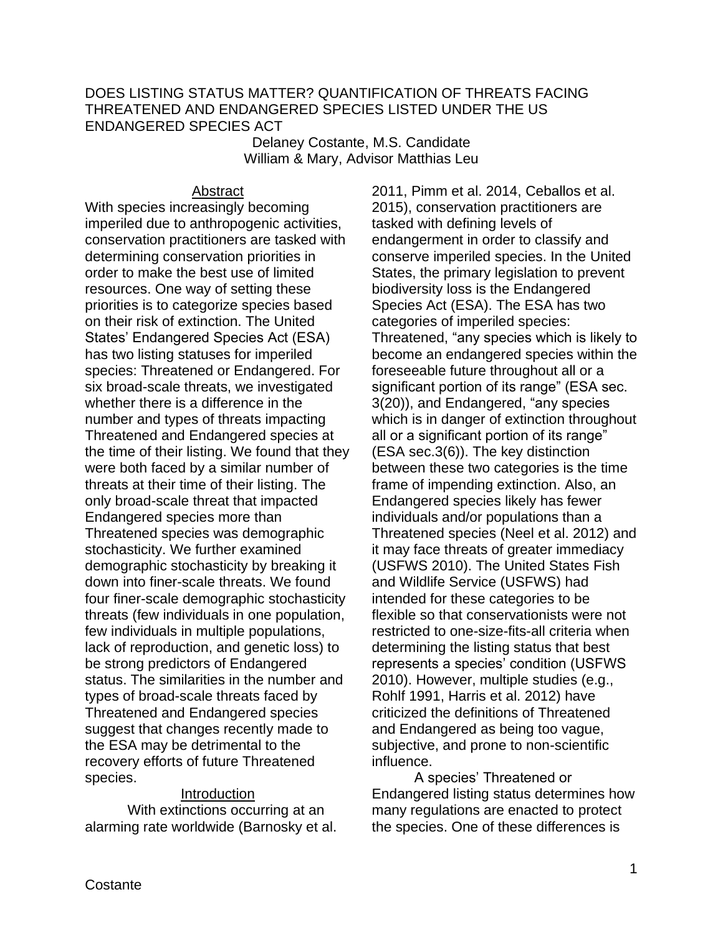## DOES LISTING STATUS MATTER? QUANTIFICATION OF THREATS FACING THREATENED AND ENDANGERED SPECIES LISTED UNDER THE US ENDANGERED SPECIES ACT

Delaney Costante, M.S. Candidate William & Mary, Advisor Matthias Leu

## Abstract

With species increasingly becoming imperiled due to anthropogenic activities, conservation practitioners are tasked with determining conservation priorities in order to make the best use of limited resources. One way of setting these priorities is to categorize species based on their risk of extinction. The United States' Endangered Species Act (ESA) has two listing statuses for imperiled species: Threatened or Endangered. For six broad-scale threats, we investigated whether there is a difference in the number and types of threats impacting Threatened and Endangered species at the time of their listing. We found that they were both faced by a similar number of threats at their time of their listing. The only broad-scale threat that impacted Endangered species more than Threatened species was demographic stochasticity. We further examined demographic stochasticity by breaking it down into finer-scale threats. We found four finer-scale demographic stochasticity threats (few individuals in one population, few individuals in multiple populations, lack of reproduction, and genetic loss) to be strong predictors of Endangered status. The similarities in the number and types of broad-scale threats faced by Threatened and Endangered species suggest that changes recently made to the ESA may be detrimental to the recovery efforts of future Threatened species.

### Introduction

With extinctions occurring at an alarming rate worldwide (Barnosky et al. 2011, Pimm et al. 2014, Ceballos et al. 2015), conservation practitioners are tasked with defining levels of endangerment in order to classify and conserve imperiled species. In the United States, the primary legislation to prevent biodiversity loss is the Endangered Species Act (ESA). The ESA has two categories of imperiled species: Threatened, "any species which is likely to become an endangered species within the foreseeable future throughout all or a significant portion of its range" (ESA sec. 3(20)), and Endangered, "any species which is in danger of extinction throughout all or a significant portion of its range" (ESA sec.3(6)). The key distinction between these two categories is the time frame of impending extinction. Also, an Endangered species likely has fewer individuals and/or populations than a Threatened species (Neel et al. 2012) and it may face threats of greater immediacy (USFWS 2010). The United States Fish and Wildlife Service (USFWS) had intended for these categories to be flexible so that conservationists were not restricted to one-size-fits-all criteria when determining the listing status that best represents a species' condition (USFWS 2010). However, multiple studies (e.g., Rohlf 1991, Harris et al. 2012) have criticized the definitions of Threatened and Endangered as being too vague, subjective, and prone to non-scientific influence.

A species' Threatened or Endangered listing status determines how many regulations are enacted to protect the species. One of these differences is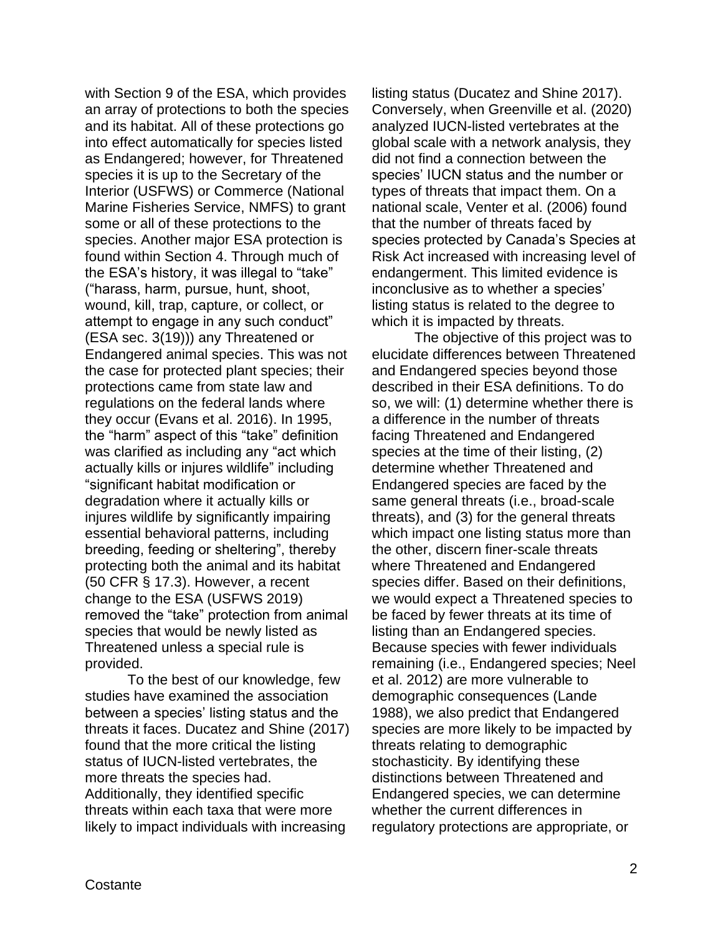with Section 9 of the ESA, which provides an array of protections to both the species and its habitat. All of these protections go into effect automatically for species listed as Endangered; however, for Threatened species it is up to the Secretary of the Interior (USFWS) or Commerce (National Marine Fisheries Service, NMFS) to grant some or all of these protections to the species. Another major ESA protection is found within Section 4. Through much of the ESA's history, it was illegal to "take" ("harass, harm, pursue, hunt, shoot, wound, kill, trap, capture, or collect, or attempt to engage in any such conduct" (ESA sec. 3(19))) any Threatened or Endangered animal species. This was not the case for protected plant species; their protections came from state law and regulations on the federal lands where they occur (Evans et al. 2016). In 1995, the "harm" aspect of this "take" definition was clarified as including any "act which actually kills or injures wildlife" including "significant habitat modification or degradation where it actually kills or injures wildlife by significantly impairing essential behavioral patterns, including breeding, feeding or sheltering", thereby protecting both the animal and its habitat (50 CFR § 17.3). However, a recent change to the ESA (USFWS 2019) removed the "take" protection from animal species that would be newly listed as Threatened unless a special rule is provided.

To the best of our knowledge, few studies have examined the association between a species' listing status and the threats it faces. Ducatez and Shine (2017) found that the more critical the listing status of IUCN-listed vertebrates, the more threats the species had. Additionally, they identified specific threats within each taxa that were more likely to impact individuals with increasing

listing status (Ducatez and Shine 2017). Conversely, when Greenville et al. (2020) analyzed IUCN-listed vertebrates at the global scale with a network analysis, they did not find a connection between the species' IUCN status and the number or types of threats that impact them. On a national scale, Venter et al. (2006) found that the number of threats faced by species protected by Canada's Species at Risk Act increased with increasing level of endangerment. This limited evidence is inconclusive as to whether a species' listing status is related to the degree to which it is impacted by threats.

The objective of this project was to elucidate differences between Threatened and Endangered species beyond those described in their ESA definitions. To do so, we will: (1) determine whether there is a difference in the number of threats facing Threatened and Endangered species at the time of their listing, (2) determine whether Threatened and Endangered species are faced by the same general threats (i.e., broad-scale threats), and (3) for the general threats which impact one listing status more than the other, discern finer-scale threats where Threatened and Endangered species differ. Based on their definitions, we would expect a Threatened species to be faced by fewer threats at its time of listing than an Endangered species. Because species with fewer individuals remaining (i.e., Endangered species; Neel et al. 2012) are more vulnerable to demographic consequences (Lande 1988), we also predict that Endangered species are more likely to be impacted by threats relating to demographic stochasticity. By identifying these distinctions between Threatened and Endangered species, we can determine whether the current differences in regulatory protections are appropriate, or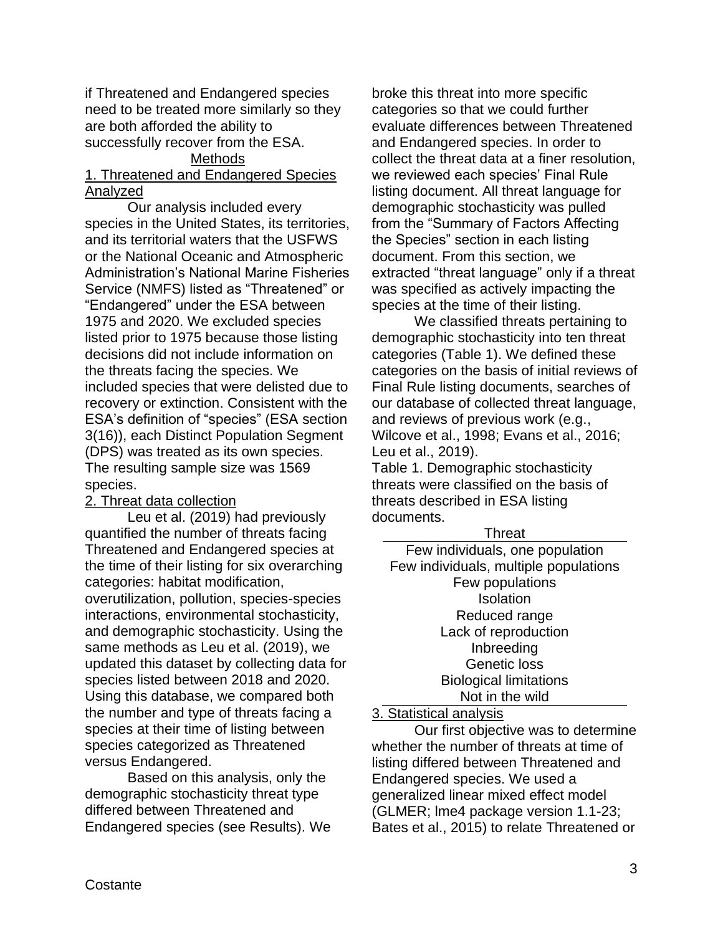if Threatened and Endangered species need to be treated more similarly so they are both afforded the ability to successfully recover from the ESA.

# Methods

## 1. Threatened and Endangered Species Analyzed

Our analysis included every species in the United States, its territories, and its territorial waters that the USFWS or the National Oceanic and Atmospheric Administration's National Marine Fisheries Service (NMFS) listed as "Threatened" or "Endangered" under the ESA between 1975 and 2020. We excluded species listed prior to 1975 because those listing decisions did not include information on the threats facing the species. We included species that were delisted due to recovery or extinction. Consistent with the ESA's definition of "species" (ESA section 3(16)), each Distinct Population Segment (DPS) was treated as its own species. The resulting sample size was 1569 species.

## 2. Threat data collection

Leu et al. (2019) had previously quantified the number of threats facing Threatened and Endangered species at the time of their listing for six overarching categories: habitat modification, overutilization, pollution, species-species interactions, environmental stochasticity, and demographic stochasticity. Using the same methods as Leu et al. (2019), we updated this dataset by collecting data for species listed between 2018 and 2020. Using this database, we compared both the number and type of threats facing a species at their time of listing between species categorized as Threatened versus Endangered.

Based on this analysis, only the demographic stochasticity threat type differed between Threatened and Endangered species (see Results). We

broke this threat into more specific categories so that we could further evaluate differences between Threatened and Endangered species. In order to collect the threat data at a finer resolution, we reviewed each species' Final Rule listing document. All threat language for demographic stochasticity was pulled from the "Summary of Factors Affecting the Species" section in each listing document. From this section, we extracted "threat language" only if a threat was specified as actively impacting the species at the time of their listing.

We classified threats pertaining to demographic stochasticity into ten threat categories (Table 1). We defined these categories on the basis of initial reviews of Final Rule listing documents, searches of our database of collected threat language, and reviews of previous work (e.g., Wilcove et al., 1998; Evans et al., 2016; Leu et al., 2019).

Table 1. Demographic stochasticity threats were classified on the basis of threats described in ESA listing documents.

| i nreat                               |  |  |
|---------------------------------------|--|--|
| Few individuals, one population       |  |  |
| Few individuals, multiple populations |  |  |
| Few populations                       |  |  |
| Isolation                             |  |  |
| Reduced range                         |  |  |
| Lack of reproduction                  |  |  |
| Inbreeding                            |  |  |
| <b>Genetic loss</b>                   |  |  |
| <b>Biological limitations</b>         |  |  |
| Not in the wild                       |  |  |

 $T$ leas an

### 3. Statistical analysis

Our first objective was to determine whether the number of threats at time of listing differed between Threatened and Endangered species. We used a generalized linear mixed effect model (GLMER; lme4 package version 1.1-23; Bates et al., 2015) to relate Threatened or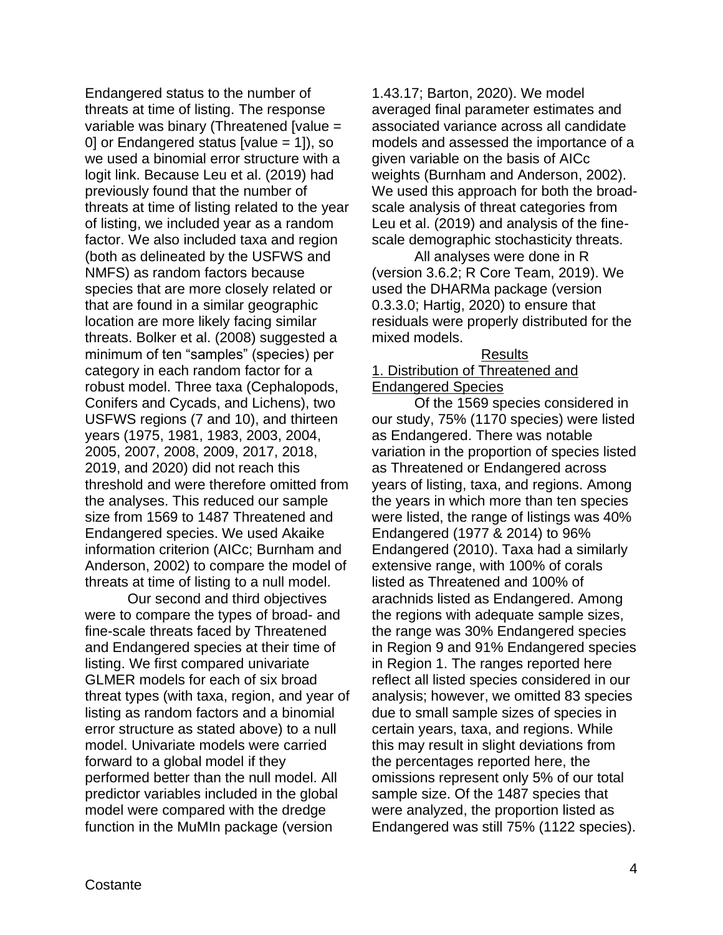Endangered status to the number of threats at time of listing. The response variable was binary (Threatened [value = 0] or Endangered status [value = 1]), so we used a binomial error structure with a logit link. Because Leu et al. (2019) had previously found that the number of threats at time of listing related to the year of listing, we included year as a random factor. We also included taxa and region (both as delineated by the USFWS and NMFS) as random factors because species that are more closely related or that are found in a similar geographic location are more likely facing similar threats. Bolker et al. (2008) suggested a minimum of ten "samples" (species) per category in each random factor for a robust model. Three taxa (Cephalopods, Conifers and Cycads, and Lichens), two USFWS regions (7 and 10), and thirteen years (1975, 1981, 1983, 2003, 2004, 2005, 2007, 2008, 2009, 2017, 2018, 2019, and 2020) did not reach this threshold and were therefore omitted from the analyses. This reduced our sample size from 1569 to 1487 Threatened and Endangered species. We used Akaike information criterion (AICc; Burnham and Anderson, 2002) to compare the model of threats at time of listing to a null model.

Our second and third objectives were to compare the types of broad- and fine-scale threats faced by Threatened and Endangered species at their time of listing. We first compared univariate GLMER models for each of six broad threat types (with taxa, region, and year of listing as random factors and a binomial error structure as stated above) to a null model. Univariate models were carried forward to a global model if they performed better than the null model. All predictor variables included in the global model were compared with the dredge function in the MuMIn package (version

1.43.17; Barton, 2020). We model averaged final parameter estimates and associated variance across all candidate models and assessed the importance of a given variable on the basis of AICc weights (Burnham and Anderson, 2002). We used this approach for both the broadscale analysis of threat categories from Leu et al. (2019) and analysis of the finescale demographic stochasticity threats.

All analyses were done in R (version 3.6.2; R Core Team, 2019). We used the DHARMa package (version 0.3.3.0; Hartig, 2020) to ensure that residuals were properly distributed for the mixed models.

#### Results

## 1. Distribution of Threatened and Endangered Species

Of the 1569 species considered in our study, 75% (1170 species) were listed as Endangered. There was notable variation in the proportion of species listed as Threatened or Endangered across years of listing, taxa, and regions. Among the years in which more than ten species were listed, the range of listings was 40% Endangered (1977 & 2014) to 96% Endangered (2010). Taxa had a similarly extensive range, with 100% of corals listed as Threatened and 100% of arachnids listed as Endangered. Among the regions with adequate sample sizes, the range was 30% Endangered species in Region 9 and 91% Endangered species in Region 1. The ranges reported here reflect all listed species considered in our analysis; however, we omitted 83 species due to small sample sizes of species in certain years, taxa, and regions. While this may result in slight deviations from the percentages reported here, the omissions represent only 5% of our total sample size. Of the 1487 species that were analyzed, the proportion listed as Endangered was still 75% (1122 species).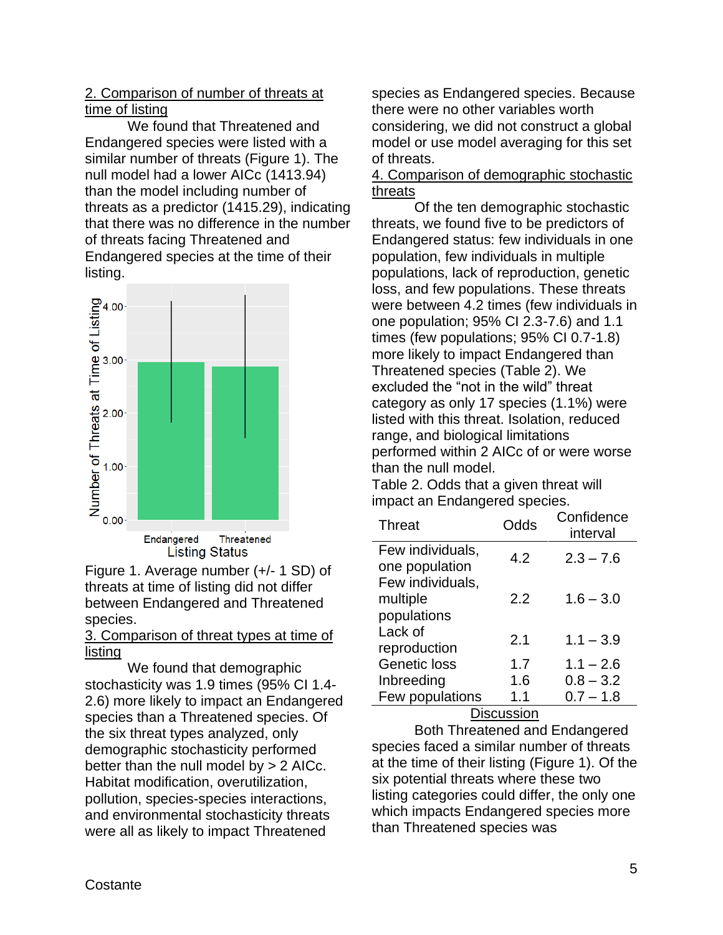# 2. Comparison of number of threats at time of listing

We found that Threatened and Endangered species were listed with a similar number of threats (Figure 1). The null model had a lower AICc (1413.94) than the model including number of threats as a predictor (1415.29), indicating that there was no difference in the number of threats facing Threatened and Endangered species at the time of their listing.



Figure 1. Average number (+/- 1 SD) of threats at time of listing did not differ between Endangered and Threatened species.

## 3. Comparison of threat types at time of listing

We found that demographic stochasticity was 1.9 times (95% CI 1.4- 2.6) more likely to impact an Endangered species than a Threatened species. Of the six threat types analyzed, only demographic stochasticity performed better than the null model by > 2 AICc. Habitat modification, overutilization, pollution, species-species interactions, and environmental stochasticity threats were all as likely to impact Threatened

species as Endangered species. Because there were no other variables worth considering, we did not construct a global model or use model averaging for this set of threats.

## 4. Comparison of demographic stochastic threats

Of the ten demographic stochastic threats, we found five to be predictors of Endangered status: few individuals in one population, few individuals in multiple populations, lack of reproduction, genetic loss, and few populations. These threats were between 4.2 times (few individuals in one population; 95% CI 2.3-7.6) and 1.1 times (few populations; 95% CI 0.7-1.8) more likely to impact Endangered than Threatened species (Table 2). We excluded the "not in the wild" threat category as only 17 species (1.1%) were listed with this threat. Isolation, reduced range, and biological limitations performed within 2 AICc of or were worse than the null model.

Table 2. Odds that a given threat will impact an Endangered species.

| <b>Threat</b>    | Odds | Confidence<br>interval |
|------------------|------|------------------------|
| Few individuals, | 4.2  | $2.3 - 7.6$            |
| one population   |      |                        |
| Few individuals, |      |                        |
| multiple         | 2.2  | $1.6 - 3.0$            |
| populations      |      |                        |
| Lack of          | 2.1  | $1.1 - 3.9$            |
| reproduction     |      |                        |
| Genetic loss     | 1.7  | $1.1 - 2.6$            |
| Inbreeding       | 1.6  | $0.8 - 3.2$            |
| Few populations  | 1.1  | $0.7 - 1.8$            |
|                  |      |                        |

**Discussion** 

Both Threatened and Endangered species faced a similar number of threats at the time of their listing (Figure 1). Of the six potential threats where these two listing categories could differ, the only one which impacts Endangered species more than Threatened species was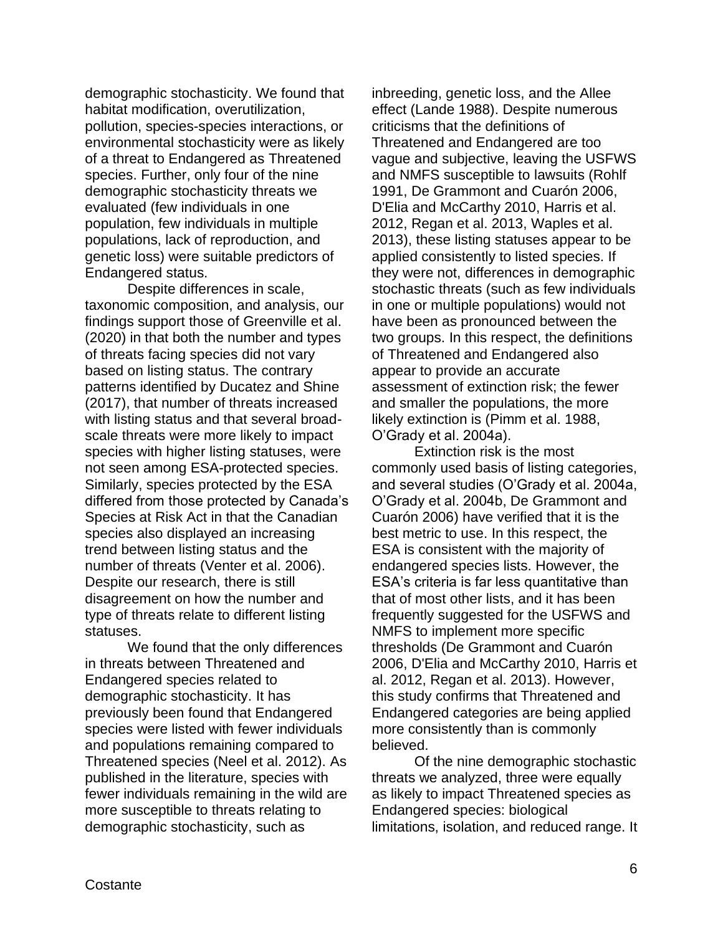demographic stochasticity. We found that habitat modification, overutilization, pollution, species-species interactions, or environmental stochasticity were as likely of a threat to Endangered as Threatened species. Further, only four of the nine demographic stochasticity threats we evaluated (few individuals in one population, few individuals in multiple populations, lack of reproduction, and genetic loss) were suitable predictors of Endangered status.

Despite differences in scale, taxonomic composition, and analysis, our findings support those of Greenville et al. (2020) in that both the number and types of threats facing species did not vary based on listing status. The contrary patterns identified by Ducatez and Shine (2017), that number of threats increased with listing status and that several broadscale threats were more likely to impact species with higher listing statuses, were not seen among ESA-protected species. Similarly, species protected by the ESA differed from those protected by Canada's Species at Risk Act in that the Canadian species also displayed an increasing trend between listing status and the number of threats (Venter et al. 2006). Despite our research, there is still disagreement on how the number and type of threats relate to different listing statuses.

We found that the only differences in threats between Threatened and Endangered species related to demographic stochasticity. It has previously been found that Endangered species were listed with fewer individuals and populations remaining compared to Threatened species (Neel et al. 2012). As published in the literature, species with fewer individuals remaining in the wild are more susceptible to threats relating to demographic stochasticity, such as

inbreeding, genetic loss, and the Allee effect (Lande 1988). Despite numerous criticisms that the definitions of Threatened and Endangered are too vague and subjective, leaving the USFWS and NMFS susceptible to lawsuits (Rohlf 1991, De Grammont and Cuarón 2006, D'Elia and McCarthy 2010, Harris et al. 2012, Regan et al. 2013, Waples et al. 2013), these listing statuses appear to be applied consistently to listed species. If they were not, differences in demographic stochastic threats (such as few individuals in one or multiple populations) would not have been as pronounced between the two groups. In this respect, the definitions of Threatened and Endangered also appear to provide an accurate assessment of extinction risk; the fewer and smaller the populations, the more likely extinction is (Pimm et al. 1988, O'Grady et al. 2004a).

Extinction risk is the most commonly used basis of listing categories, and several studies (O'Grady et al. 2004a, O'Grady et al. 2004b, De Grammont and Cuarón 2006) have verified that it is the best metric to use. In this respect, the ESA is consistent with the majority of endangered species lists. However, the ESA's criteria is far less quantitative than that of most other lists, and it has been frequently suggested for the USFWS and NMFS to implement more specific thresholds (De Grammont and Cuarón 2006, D'Elia and McCarthy 2010, Harris et al. 2012, Regan et al. 2013). However, this study confirms that Threatened and Endangered categories are being applied more consistently than is commonly believed.

Of the nine demographic stochastic threats we analyzed, three were equally as likely to impact Threatened species as Endangered species: biological limitations, isolation, and reduced range. It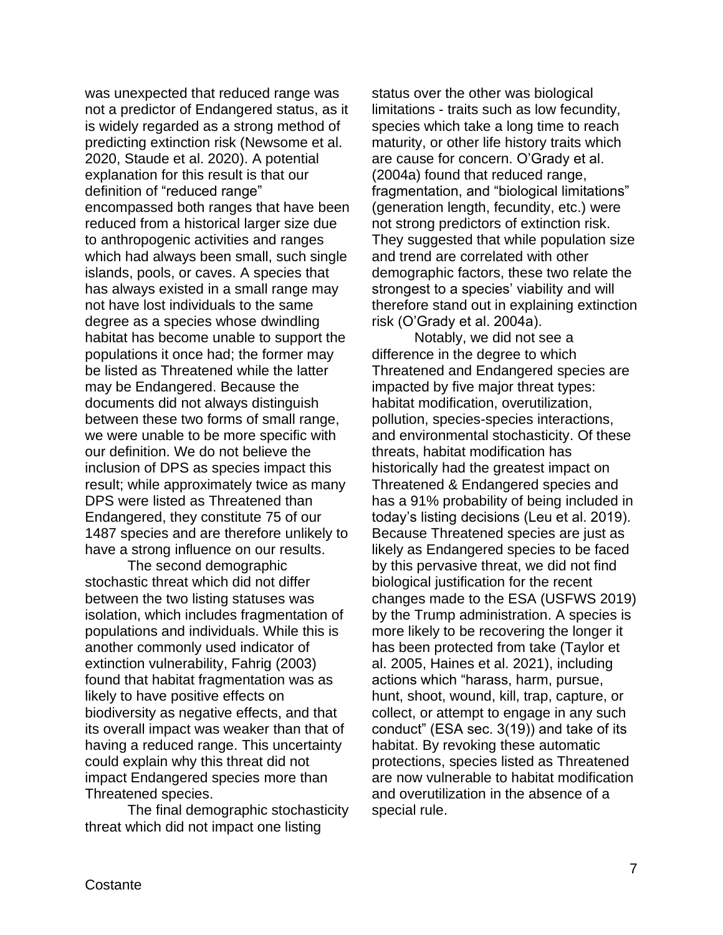was unexpected that reduced range was not a predictor of Endangered status, as it is widely regarded as a strong method of predicting extinction risk (Newsome et al. 2020, Staude et al. 2020). A potential explanation for this result is that our definition of "reduced range" encompassed both ranges that have been reduced from a historical larger size due to anthropogenic activities and ranges which had always been small, such single islands, pools, or caves. A species that has always existed in a small range may not have lost individuals to the same degree as a species whose dwindling habitat has become unable to support the populations it once had; the former may be listed as Threatened while the latter may be Endangered. Because the documents did not always distinguish between these two forms of small range, we were unable to be more specific with our definition. We do not believe the inclusion of DPS as species impact this result; while approximately twice as many DPS were listed as Threatened than Endangered, they constitute 75 of our 1487 species and are therefore unlikely to have a strong influence on our results.

The second demographic stochastic threat which did not differ between the two listing statuses was isolation, which includes fragmentation of populations and individuals. While this is another commonly used indicator of extinction vulnerability, Fahrig (2003) found that habitat fragmentation was as likely to have positive effects on biodiversity as negative effects, and that its overall impact was weaker than that of having a reduced range. This uncertainty could explain why this threat did not impact Endangered species more than Threatened species.

The final demographic stochasticity threat which did not impact one listing

status over the other was biological limitations - traits such as low fecundity, species which take a long time to reach maturity, or other life history traits which are cause for concern. O'Grady et al. (2004a) found that reduced range, fragmentation, and "biological limitations" (generation length, fecundity, etc.) were not strong predictors of extinction risk. They suggested that while population size and trend are correlated with other demographic factors, these two relate the strongest to a species' viability and will therefore stand out in explaining extinction risk (O'Grady et al. 2004a).

Notably, we did not see a difference in the degree to which Threatened and Endangered species are impacted by five major threat types: habitat modification, overutilization, pollution, species-species interactions, and environmental stochasticity. Of these threats, habitat modification has historically had the greatest impact on Threatened & Endangered species and has a 91% probability of being included in today's listing decisions (Leu et al. 2019). Because Threatened species are just as likely as Endangered species to be faced by this pervasive threat, we did not find biological justification for the recent changes made to the ESA (USFWS 2019) by the Trump administration. A species is more likely to be recovering the longer it has been protected from take (Taylor et al. 2005, Haines et al. 2021), including actions which "harass, harm, pursue, hunt, shoot, wound, kill, trap, capture, or collect, or attempt to engage in any such conduct" (ESA sec. 3(19)) and take of its habitat. By revoking these automatic protections, species listed as Threatened are now vulnerable to habitat modification and overutilization in the absence of a special rule.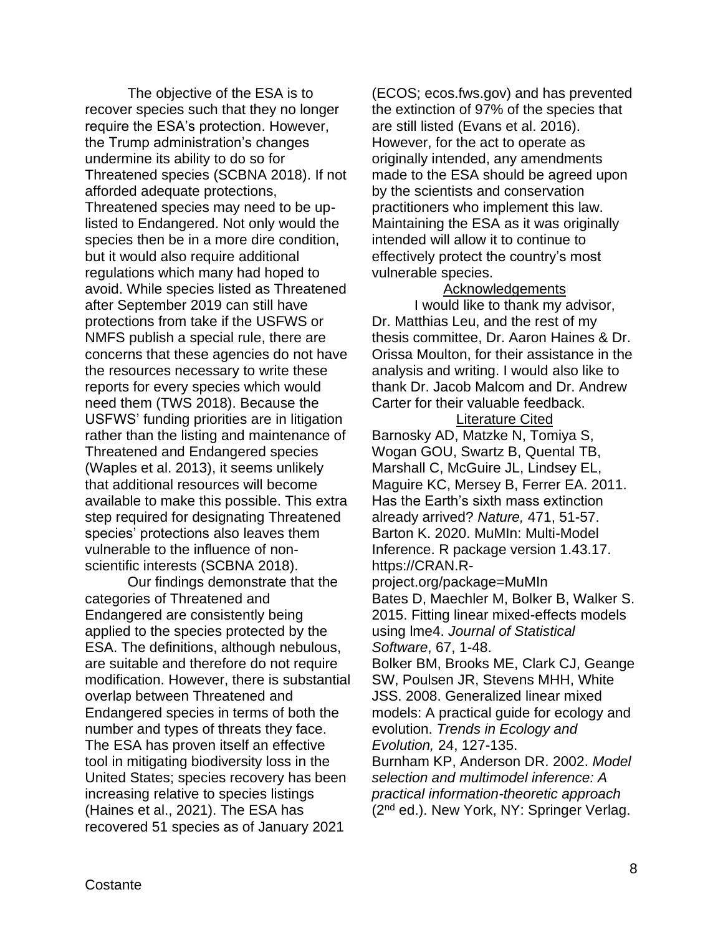The objective of the ESA is to recover species such that they no longer require the ESA's protection. However, the Trump administration's changes undermine its ability to do so for Threatened species (SCBNA 2018). If not afforded adequate protections, Threatened species may need to be uplisted to Endangered. Not only would the species then be in a more dire condition, but it would also require additional regulations which many had hoped to avoid. While species listed as Threatened after September 2019 can still have protections from take if the USFWS or NMFS publish a special rule, there are concerns that these agencies do not have the resources necessary to write these reports for every species which would need them (TWS 2018). Because the USFWS' funding priorities are in litigation rather than the listing and maintenance of Threatened and Endangered species (Waples et al. 2013), it seems unlikely that additional resources will become available to make this possible. This extra step required for designating Threatened species' protections also leaves them vulnerable to the influence of nonscientific interests (SCBNA 2018).

Our findings demonstrate that the categories of Threatened and Endangered are consistently being applied to the species protected by the ESA. The definitions, although nebulous, are suitable and therefore do not require modification. However, there is substantial overlap between Threatened and Endangered species in terms of both the number and types of threats they face. The ESA has proven itself an effective tool in mitigating biodiversity loss in the United States; species recovery has been increasing relative to species listings (Haines et al., 2021). The ESA has recovered 51 species as of January 2021

(ECOS; ecos.fws.gov) and has prevented the extinction of 97% of the species that are still listed (Evans et al. 2016). However, for the act to operate as originally intended, any amendments made to the ESA should be agreed upon by the scientists and conservation practitioners who implement this law. Maintaining the ESA as it was originally intended will allow it to continue to effectively protect the country's most vulnerable species.

### Acknowledgements

I would like to thank my advisor, Dr. Matthias Leu, and the rest of my thesis committee, Dr. Aaron Haines & Dr. Orissa Moulton, for their assistance in the analysis and writing. I would also like to thank Dr. Jacob Malcom and Dr. Andrew Carter for their valuable feedback.

### Literature Cited

Barnosky AD, Matzke N, Tomiya S, Wogan GOU, Swartz B, Quental TB, Marshall C, McGuire JL, Lindsey EL, Maguire KC, Mersey B, Ferrer EA. 2011. Has the Earth's sixth mass extinction already arrived? *Nature,* 471, 51-57. Barton K. 2020. MuMIn: Multi-Model Inference. R package version 1.43.17. https://CRAN.R-

project.org/package=MuMIn Bates D, Maechler M, Bolker B, Walker S. 2015. Fitting linear mixed-effects models using lme4. *Journal of Statistical* 

*Software*, 67, 1-48.

Bolker BM, Brooks ME, Clark CJ, Geange SW, Poulsen JR, Stevens MHH, White JSS. 2008. Generalized linear mixed models: A practical guide for ecology and evolution. *Trends in Ecology and Evolution,* 24, 127-135.

Burnham KP, Anderson DR. 2002. *Model selection and multimodel inference: A practical information-theoretic approach* (2<sup>nd</sup> ed.). New York, NY: Springer Verlag.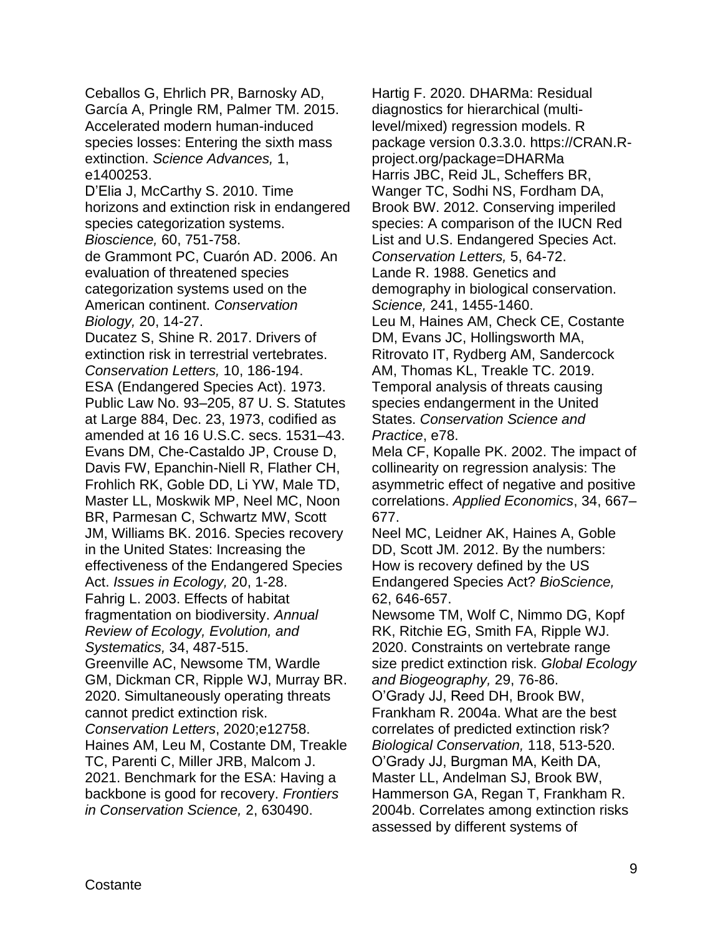Ceballos G, Ehrlich PR, Barnosky AD, García A, Pringle RM, Palmer TM. 2015. Accelerated modern human-induced species losses: Entering the sixth mass extinction. *Science Advances,* 1, e1400253.

D'Elia J, McCarthy S. 2010. Time horizons and extinction risk in endangered species categorization systems.

*Bioscience,* 60, 751-758.

de Grammont PC, Cuarón AD. 2006. An evaluation of threatened species categorization systems used on the American continent. *Conservation Biology,* 20, 14-27.

Ducatez S, Shine R. 2017. Drivers of extinction risk in terrestrial vertebrates. *Conservation Letters,* 10, 186-194. ESA (Endangered Species Act). 1973. Public Law No. 93–205, 87 U. S. Statutes at Large 884, Dec. 23, 1973, codified as amended at 16 16 U.S.C. secs. 1531–43. Evans DM, Che-Castaldo JP, Crouse D, Davis FW, Epanchin-Niell R, Flather CH, Frohlich RK, Goble DD, Li YW, Male TD, Master LL, Moskwik MP, Neel MC, Noon BR, Parmesan C, Schwartz MW, Scott JM, Williams BK. 2016. Species recovery in the United States: Increasing the effectiveness of the Endangered Species Act. *Issues in Ecology,* 20, 1-28. Fahrig L. 2003. Effects of habitat fragmentation on biodiversity. *Annual Review of Ecology, Evolution, and Systematics,* 34, 487-515. Greenville AC, Newsome TM, Wardle GM, Dickman CR, Ripple WJ, Murray BR. 2020. Simultaneously operating threats cannot predict extinction risk. *Conservation Letters*, 2020;e12758. Haines AM, Leu M, Costante DM, Treakle TC, Parenti C, Miller JRB, Malcom J. 2021. Benchmark for the ESA: Having a backbone is good for recovery. *Frontiers in Conservation Science,* 2, 630490.

Hartig F. 2020. DHARMa: Residual diagnostics for hierarchical (multilevel/mixed) regression models. R package version 0.3.3.0. https://CRAN.Rproject.org/package=DHARMa Harris JBC, Reid JL, Scheffers BR, Wanger TC, Sodhi NS, Fordham DA, Brook BW. 2012. Conserving imperiled species: A comparison of the IUCN Red List and U.S. Endangered Species Act. *Conservation Letters,* 5, 64-72. Lande R. 1988. Genetics and demography in biological conservation. *Science,* 241, 1455-1460. Leu M, Haines AM, Check CE, Costante DM, Evans JC, Hollingsworth MA, Ritrovato IT, Rydberg AM, Sandercock AM, Thomas KL, Treakle TC. 2019. Temporal analysis of threats causing species endangerment in the United States. *Conservation Science and Practice*, e78.

Mela CF, Kopalle PK. 2002. The impact of collinearity on regression analysis: The asymmetric effect of negative and positive correlations. *Applied Economics*, 34, 667– 677.

Neel MC, Leidner AK, Haines A, Goble DD, Scott JM. 2012. By the numbers: How is recovery defined by the US Endangered Species Act? *BioScience,*  62, 646-657.

Newsome TM, Wolf C, Nimmo DG, Kopf RK, Ritchie EG, Smith FA, Ripple WJ. 2020. Constraints on vertebrate range size predict extinction risk. *Global Ecology and Biogeography,* 29, 76-86.

O'Grady JJ, Reed DH, Brook BW, Frankham R. 2004a. What are the best correlates of predicted extinction risk? *Biological Conservation,* 118, 513-520. O'Grady JJ, Burgman MA, Keith DA, Master LL, Andelman SJ, Brook BW, Hammerson GA, Regan T, Frankham R. 2004b. Correlates among extinction risks assessed by different systems of